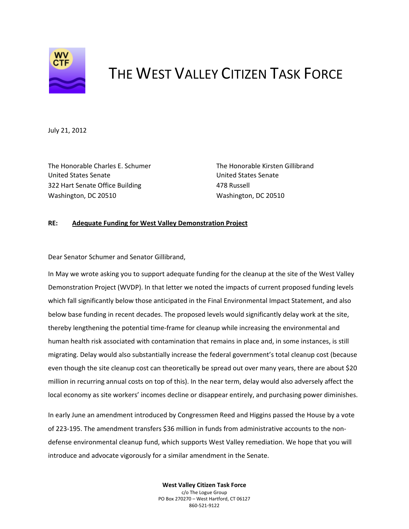

## THE WEST VALLEY CITIZEN TASK FORCE

July 21, 2012

The Honorable Charles E. Schumer The Honorable Kirsten Gillibrand United States Senate United States Senate 322 Hart Senate Office Building **1999 122 Hart Senate Office Building** 478 Russell Washington, DC 20510 Washington, DC 20510

## **RE: Adequate Funding for West Valley Demonstration Project**

Dear Senator Schumer and Senator Gillibrand,

In May we wrote asking you to support adequate funding for the cleanup at the site of the West Valley Demonstration Project (WVDP). In that letter we noted the impacts of current proposed funding levels which fall significantly below those anticipated in the Final Environmental Impact Statement, and also below base funding in recent decades. The proposed levels would significantly delay work at the site, thereby lengthening the potential time‐frame for cleanup while increasing the environmental and human health risk associated with contamination that remains in place and, in some instances, is still migrating. Delay would also substantially increase the federal government's total cleanup cost (because even though the site cleanup cost can theoretically be spread out over many years, there are about \$20 million in recurring annual costs on top of this). In the near term, delay would also adversely affect the local economy as site workers' incomes decline or disappear entirely, and purchasing power diminishes.

In early June an amendment introduced by Congressmen Reed and Higgins passed the House by a vote of 223‐195. The amendment transfers \$36 million in funds from administrative accounts to the non‐ defense environmental cleanup fund, which supports West Valley remediation. We hope that you will introduce and advocate vigorously for a similar amendment in the Senate.

> **West Valley Citizen Task Force** c/o The Logue Group PO Box 270270 – West Hartford, CT 06127 860‐521‐9122